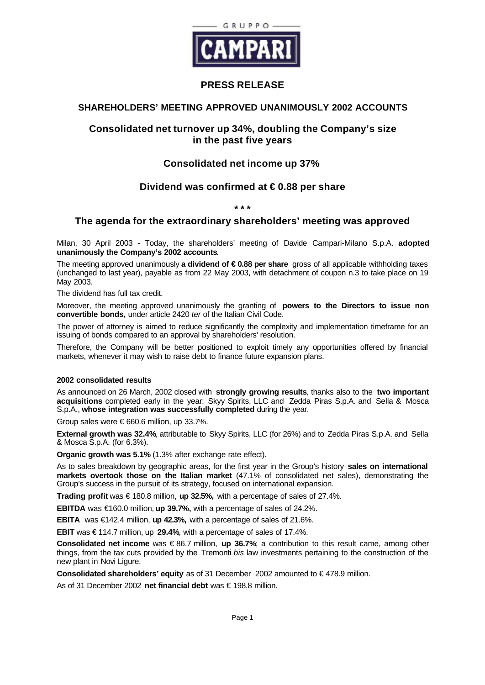

# **PRESS RELEASE**

## **SHAREHOLDERS' MEETING APPROVED UNANIMOUSLY 2002 ACCOUNTS**

# **Consolidated net turnover up 34%, doubling the Company's size in the past five years**

# **Consolidated net income up 37%**

# **Dividend was confirmed at € 0.88 per share**

**\* \* \***

# **The agenda for the extraordinary shareholders' meeting was approved**

Milan, 30 April 2003 - Today, the shareholders' meeting of Davide Campari-Milano S.p.A. **adopted unanimously the Company's 2002 accounts**.

The meeting approved unanimously **a dividend of € 0.88 per share** gross of all applicable withholding taxes (unchanged to last year), payable as from 22 May 2003, with detachment of coupon n.3 to take place on 19 May 2003.

The dividend has full tax credit.

Moreover, the meeting approved unanimously the granting of **powers to the Directors to issue non convertible bonds,** under article 2420 *ter* of the Italian Civil Code.

The power of attorney is aimed to reduce significantly the complexity and implementation timeframe for an issuing of bonds compared to an approval by shareholders' resolution.

Therefore, the Company will be better positioned to exploit timely any opportunities offered by financial markets, whenever it may wish to raise debt to finance future expansion plans.

## **2002 consolidated results**

As announced on 26 March, 2002 closed with **strongly growing results**, thanks also to the **two important acquisitions** completed early in the year: Skyy Spirits, LLC and Zedda Piras S.p.A. and Sella & Mosca S.p.A., **whose integration was successfully completed** during the year.

Group sales were € 660.6 million, up 33.7%.

**External growth was 32.4%**, attributable to Skyy Spirits, LLC (for 26%) and to Zedda Piras S.p.A. and Sella & Mosca S.p.A. (for 6.3%).

**Organic growth was 5.1%** (1.3% after exchange rate effect).

As to sales breakdown by geographic areas, for the first year in the Group's history **sales on international markets overtook those on the Italian market** (47.1% of consolidated net sales), demonstrating the Group's success in the pursuit of its strategy, focused on international expansion.

**Trading profit** was € 180.8 million, **up 32.5%,** with a percentage of sales of 27.4%.

**EBITDA** was €160.0 million, **up 39.7%,** with a percentage of sales of 24.2%.

**EBITA** was €142.4 million, **up 42.3%,** with a percentage of sales of 21.6%.

**EBIT** was € 114.7 million, up **29.4%**, with a percentage of sales of 17.4%.

**Consolidated net income** was € 86.7 million, **up 36.7%**; a contribution to this result came, among other things, from the tax cuts provided by the Tremonti *bis* law investments pertaining to the construction of the new plant in Novi Ligure.

**Consolidated shareholders' equity** as of 31 December 2002 amounted to € 478.9 million.

As of 31 December 2002 **net financial debt** was € 198.8 million.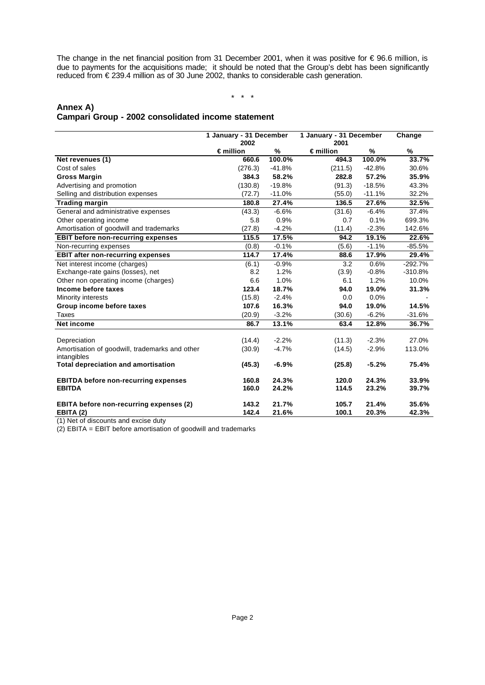The change in the net financial position from 31 December 2001, when it was positive for € 96.6 million, is due to payments for the acquisitions made; it should be noted that the Group's debt has been significantly reduced from € 239.4 million as of 30 June 2002, thanks to considerable cash generation.

#### \* \* \*

## **Annex A) Campari Group - 2002 consolidated income statement**

|                                                | 1 January - 31 December    |          | 1 January - 31 December    |          | Change    |
|------------------------------------------------|----------------------------|----------|----------------------------|----------|-----------|
|                                                | 2002<br>$\epsilon$ million | %        | 2001<br>$\epsilon$ million | %        | %         |
| Net revenues (1)                               | 660.6                      | 100.0%   | 494.3                      | 100.0%   | 33.7%     |
| Cost of sales                                  | (276.3)                    | $-41.8%$ | (211.5)                    | $-42.8%$ | 30.6%     |
| <b>Gross Margin</b>                            | 384.3                      | 58.2%    | 282.8                      | 57.2%    | 35.9%     |
| Advertising and promotion                      | (130.8)                    | $-19.8%$ | (91.3)                     | $-18.5%$ | 43.3%     |
| Selling and distribution expenses              | (72.7)                     | $-11.0%$ | (55.0)                     | $-11.1%$ | 32.2%     |
| <b>Trading margin</b>                          | 180.8                      | 27.4%    | 136.5                      | 27.6%    | 32.5%     |
| General and administrative expenses            | (43.3)                     | $-6.6%$  | (31.6)                     | $-6.4%$  | 37.4%     |
| Other operating income                         | 5.8                        | 0.9%     | 0.7                        | 0.1%     | 699.3%    |
| Amortisation of goodwill and trademarks        | (27.8)                     | $-4.2%$  | (11.4)                     | $-2.3%$  | 142.6%    |
| <b>EBIT before non-recurring expenses</b>      | 115.5                      | 17.5%    | 94.2                       | 19.1%    | 22.6%     |
| Non-recurring expenses                         | (0.8)                      | $-0.1%$  | (5.6)                      | $-1.1%$  | $-85.5%$  |
| <b>EBIT after non-recurring expenses</b>       | 114.7                      | 17.4%    | 88.6                       | 17.9%    | 29.4%     |
| Net interest income (charges)                  | (6.1)                      | $-0.9%$  | 3.2                        | 0.6%     | $-292.7%$ |
| Exchange-rate gains (losses), net              | 8.2                        | 1.2%     | (3.9)                      | $-0.8%$  | $-310.8%$ |
| Other non operating income (charges)           | 6.6                        | 1.0%     | 6.1                        | 1.2%     | 10.0%     |
| Income before taxes                            | 123.4                      | 18.7%    | 94.0                       | 19.0%    | 31.3%     |
| Minority interests                             | (15.8)                     | $-2.4%$  | 0.0                        | 0.0%     |           |
| Group income before taxes                      | 107.6                      | 16.3%    | 94.0                       | 19.0%    | 14.5%     |
| Taxes                                          | (20.9)                     | $-3.2%$  | (30.6)                     | $-6.2%$  | $-31.6%$  |
| <b>Net income</b>                              | 86.7                       | 13.1%    | 63.4                       | 12.8%    | 36.7%     |
| Depreciation                                   | (14.4)                     | $-2.2%$  | (11.3)                     | $-2.3%$  | 27.0%     |
| Amortisation of goodwill, trademarks and other | (30.9)                     | $-4.7%$  | (14.5)                     | $-2.9%$  | 113.0%    |
| intangibles                                    |                            |          |                            |          |           |
| <b>Total depreciation and amortisation</b>     | (45.3)                     | $-6.9%$  | (25.8)                     | $-5.2%$  | 75.4%     |
| <b>EBITDA before non-recurring expenses</b>    | 160.8                      | 24.3%    | 120.0                      | 24.3%    | 33.9%     |
| <b>EBITDA</b>                                  | 160.0                      | 24.2%    | 114.5                      | 23.2%    | 39.7%     |
| <b>EBITA before non-recurring expenses (2)</b> | 143.2                      | 21.7%    | 105.7                      | 21.4%    | 35.6%     |
| EBITA (2)                                      | 142.4                      | 21.6%    | 100.1                      | 20.3%    | 42.3%     |

(1) Net of discounts and excise duty

(2) EBITA = EBIT before amortisation of goodwill and trademarks